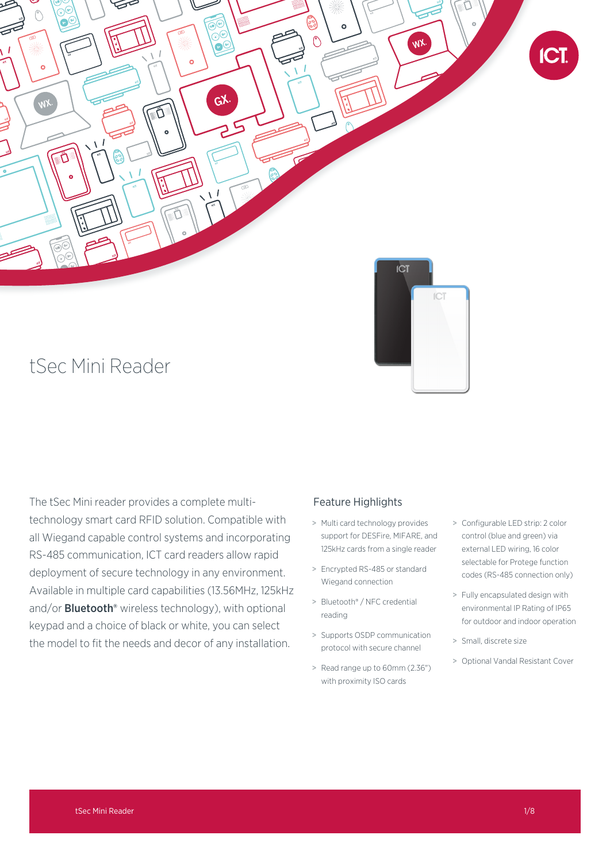

# tSec Mini Reader

The tSec Mini reader provides a complete multitechnology smart card RFID solution. Compatible with all Wiegand capable control systems and incorporating RS-485 communication, ICT card readers allow rapid deployment of secure technology in any environment. Available in multiple card capabilities (13.56MHz, 125kHz and/or **Bluetooth**<sup>®</sup> wireless technology), with optional keypad and a choice of black or white, you can select the model to fit the needs and decor of any installation.

# Feature Highlights

- > Multi card technology provides support for DESFire, MIFARE, and 125kHz cards from a single reader
- > Encrypted RS-485 or standard Wiegand connection
- > Bluetooth® / NFC credential reading
- > Supports OSDP communication protocol with secure channel
- > Read range up to 60mm (2.36") with proximity ISO cards
- > Configurable LED strip: 2 color control (blue and green) via external LED wiring, 16 color selectable for Protege function codes (RS-485 connection only)
- > Fully encapsulated design with environmental IP Rating of IP65 for outdoor and indoor operation
- > Small, discrete size
- > Optional Vandal Resistant Cover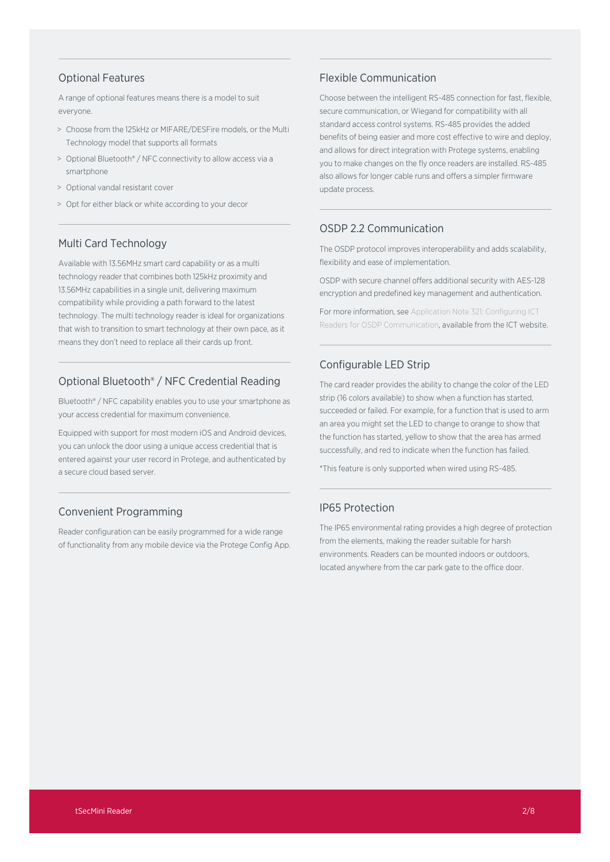# Optional Features

A range of optional features means there is a model to suit everyone.

- > Choose from the 125kHz or MIFARE/DESFire models, or the Multi Technology model that supports all formats
- > Optional Bluetooth® / NFC connectivity to allow access via a smartphone
- > Optional vandal resistant cover
- > Opt for either black or white according to your decor

# Multi Card Technology

Available with 13.56MHz smart card capability or as a multi technology reader that combines both 125kHz proximity and 13.56MHz capabilities in a single unit, delivering maximum compatibility while providing a path forward to the latest technology. The multi technology reader is ideal for organizations that wish to transition to smart technology at their own pace, as it means they don't need to replace all their cards up front.

# Optional Bluetooth® / NFC Credential Reading

Bluetooth® / NFC capability enables you to use your smartphone as your access credential for maximum convenience.

Equipped with support for most modern iOS and Android devices, you can unlock the door using a unique access credential that is entered against your user record in Protege, and authenticated by a secure cloud based server.

# Convenient Programming

Reader configuration can be easily programmed for a wide range of functionality from any mobile device via the Protege Config App.

# Flexible Communication

Choose between the intelligent RS-485 connection for fast, flexible, secure communication, or Wiegand for compatibility with all standard access control systems. RS-485 provides the added benefits of being easier and more cost effective to wire and deploy, and allows for direct integration with Protege systems, enabling you to make changes on the fly once readers are installed. RS-485 also allows for longer cable runs and offers a simpler firmware update process.

# OSDP 2.2 Communication

The OSDP protocol improves interoperability and adds scalability, flexibility and ease of implementation.

OSDP with secure channel offers additional security with AES-128 encryption and predefined key management and authentication.

For more information, see Application Note 321: Configuring ICT Readers for OSDP Communication, available from the ICT website.

# Configurable LED Strip

The card reader provides the ability to change the color of the LED strip (16 colors available) to show when a function has started, succeeded or failed. For example, for a function that is used to arm an area you might set the LED to change to orange to show that the function has started, yellow to show that the area has armed successfully, and red to indicate when the function has failed.

\*This feature is only supported when wired using RS-485.

# IP65 Protection

The IP65 environmental rating provides a high degree of protection from the elements, making the reader suitable for harsh environments. Readers can be mounted indoors or outdoors, located anywhere from the car park gate to the office door.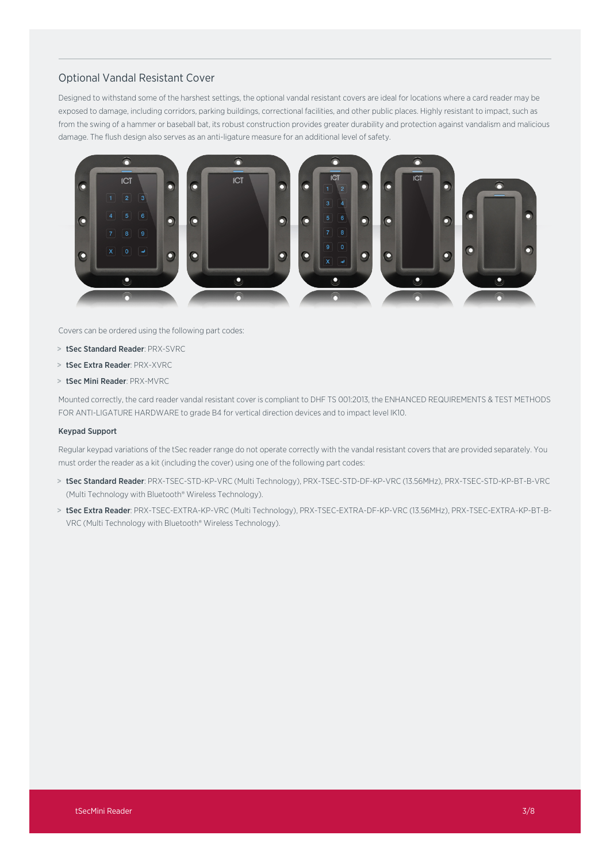# Optional Vandal Resistant Cover

Designed to withstand some of the harshest settings, the optional vandal resistant covers are ideal for locations where a card reader may be exposed to damage, including corridors, parking buildings, correctional facilities, and other public places. Highly resistant to impact, such as from the swing of a hammer or baseball bat, its robust construction provides greater durability and protection against vandalism and malicious damage. The flush design also serves as an anti-ligature measure for an additional level of safety.



Covers can be ordered using the following part codes:

- > tSec Standard Reader: PRX-SVRC
- > tSec Extra Reader: PRX-XVRC
- > tSec Mini Reader: PRX-MVRC

Mounted correctly, the card reader vandal resistant cover is compliant to DHF TS 001:2013, the ENHANCED REQUIREMENTS & TEST METHODS FOR ANTI-LIGATURE HARDWARE to grade B4 for vertical direction devices and to impact level IK10.

### Keypad Support

Regular keypad variations of the tSec reader range do not operate correctly with the vandal resistant covers that are provided separately. You must order the reader as a kit (including the cover) using one of the following part codes:

- > tSec Standard Reader: PRX-TSEC-STD-KP-VRC (Multi Technology), PRX-TSEC-STD-DF-KP-VRC (13.56MHz), PRX-TSEC-STD-KP-BT-B-VRC (Multi Technology with Bluetooth® Wireless Technology).
- > tSec Extra Reader: PRX-TSEC-EXTRA-KP-VRC (Multi Technology), PRX-TSEC-EXTRA-DF-KP-VRC (13.56MHz), PRX-TSEC-EXTRA-KP-BT-B-VRC (Multi Technology with Bluetooth® Wireless Technology).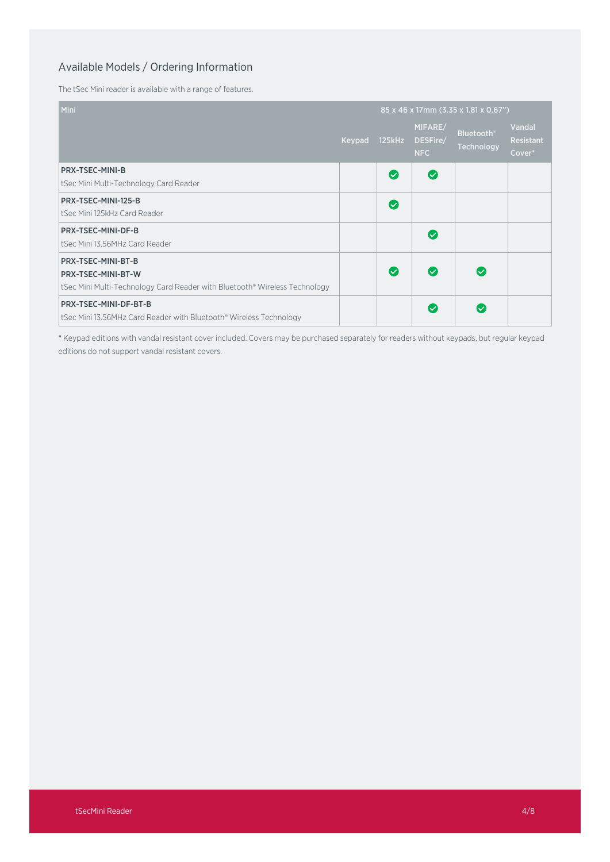# Available Models / Ordering Information

The tSec Mini reader is available with a range of features.

| Mini                                                                       |        | 85 x 46 x 17mm (3.35 x 1.81 x 0.67") |                                   |                                 |                                      |
|----------------------------------------------------------------------------|--------|--------------------------------------|-----------------------------------|---------------------------------|--------------------------------------|
|                                                                            | Keypad | 125kHz                               | MIFARE/<br>DESFire/<br><b>NFC</b> | <b>Bluetooth®</b><br>Technology | Vandal<br><b>Resistant</b><br>Cover* |
| <b>PRX-TSEC-MINI-B</b>                                                     |        | $\bullet$                            | $\bullet$                         |                                 |                                      |
| tSec Mini Multi-Technology Card Reader                                     |        |                                      |                                   |                                 |                                      |
| PRX-TSEC-MINI-125-B                                                        |        | $\bullet$                            |                                   |                                 |                                      |
| tSec Mini 125kHz Card Reader                                               |        |                                      |                                   |                                 |                                      |
| PRX-TSEC-MINI-DF-B                                                         |        |                                      | $\bullet$                         |                                 |                                      |
| tSec Mini 13.56MHz Card Reader                                             |        |                                      |                                   |                                 |                                      |
| PRX-TSEC-MINI-BT-B                                                         |        |                                      |                                   |                                 |                                      |
| PRX-TSEC-MINI-BT-W                                                         |        | $\bullet$                            | $\bullet$                         | $\overline{\mathcal{S}}$        |                                      |
| tSec Mini Multi-Technology Card Reader with Bluetooth® Wireless Technology |        |                                      |                                   |                                 |                                      |
| PRX-TSEC-MINI-DF-BT-B                                                      |        |                                      | $\overline{\mathcal{S}}$          | $\overline{\mathbf{v}}$         |                                      |
| tSec Mini 13.56MHz Card Reader with Bluetooth® Wireless Technology         |        |                                      |                                   |                                 |                                      |

\* Keypad editions with vandal resistant cover included. Covers may be purchased separately for readers without keypads, but regular keypad editions do not support vandal resistant covers.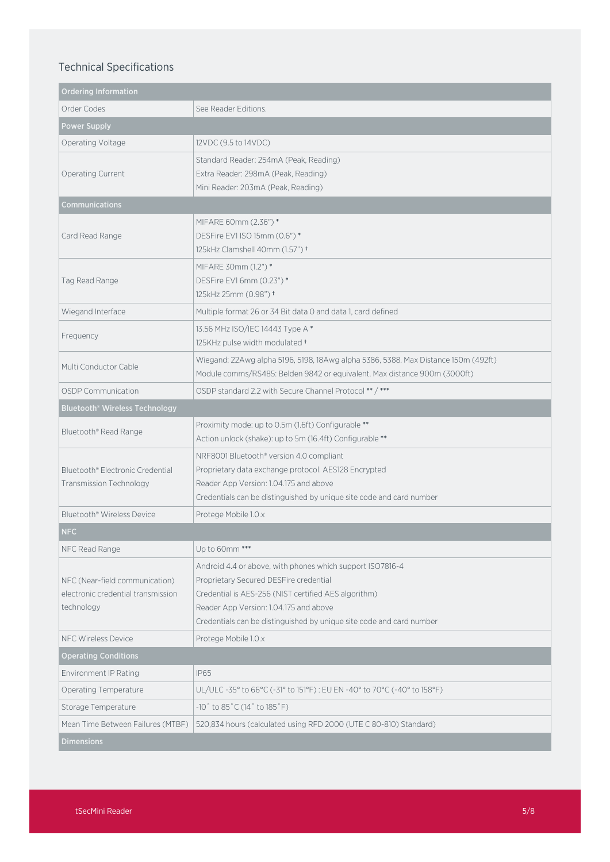# Technical Specifications

| <b>Ordering Information</b>                                                        |                                                                                                                                                                                                                                                                               |  |  |  |  |  |
|------------------------------------------------------------------------------------|-------------------------------------------------------------------------------------------------------------------------------------------------------------------------------------------------------------------------------------------------------------------------------|--|--|--|--|--|
| Order Codes                                                                        | See Reader Editions.                                                                                                                                                                                                                                                          |  |  |  |  |  |
| <b>Power Supply</b>                                                                |                                                                                                                                                                                                                                                                               |  |  |  |  |  |
| Operating Voltage                                                                  | 12VDC (9.5 to 14VDC)                                                                                                                                                                                                                                                          |  |  |  |  |  |
| <b>Operating Current</b>                                                           | Standard Reader: 254mA (Peak, Reading)<br>Extra Reader: 298mA (Peak, Reading)<br>Mini Reader: 203mA (Peak, Reading)                                                                                                                                                           |  |  |  |  |  |
| Communications                                                                     |                                                                                                                                                                                                                                                                               |  |  |  |  |  |
| Card Read Range                                                                    | MIFARE 60mm (2.36") *<br>DESFire EV1 ISO 15mm (0.6") *<br>125kHz Clamshell 40mm (1.57") +                                                                                                                                                                                     |  |  |  |  |  |
| Tag Read Range                                                                     | MIFARE 30mm (1.2") *<br>DESFire EV16mm (0.23")*<br>125kHz 25mm (0.98") +                                                                                                                                                                                                      |  |  |  |  |  |
| Wiegand Interface                                                                  | Multiple format 26 or 34 Bit data 0 and data 1, card defined                                                                                                                                                                                                                  |  |  |  |  |  |
| Frequency                                                                          | 13.56 MHz ISO/IEC 14443 Type A*<br>125KHz pulse width modulated +                                                                                                                                                                                                             |  |  |  |  |  |
| Multi Conductor Cable                                                              | Wiegand: 22Awg alpha 5196, 5198, 18Awg alpha 5386, 5388. Max Distance 150m (492ft)<br>Module comms/RS485: Belden 9842 or equivalent. Max distance 900m (3000ft)                                                                                                               |  |  |  |  |  |
| <b>OSDP Communication</b>                                                          | OSDP standard 2.2 with Secure Channel Protocol ** / ***                                                                                                                                                                                                                       |  |  |  |  |  |
| Bluetooth® Wireless Technology                                                     |                                                                                                                                                                                                                                                                               |  |  |  |  |  |
| Bluetooth® Read Range                                                              | Proximity mode: up to 0.5m (1.6ft) Configurable **<br>Action unlock (shake): up to 5m (16.4ft) Configurable **                                                                                                                                                                |  |  |  |  |  |
| Bluetooth® Electronic Credential<br>Transmission Technology                        | NRF8001 Bluetooth® version 4.0 compliant<br>Proprietary data exchange protocol. AES128 Encrypted<br>Reader App Version: 1.04.175 and above<br>Credentials can be distinguished by unique site code and card number                                                            |  |  |  |  |  |
| Bluetooth® Wireless Device                                                         | Protege Mobile 1.0.x                                                                                                                                                                                                                                                          |  |  |  |  |  |
| <b>NFC</b>                                                                         |                                                                                                                                                                                                                                                                               |  |  |  |  |  |
| NFC Read Range                                                                     | Up to 60mm ***                                                                                                                                                                                                                                                                |  |  |  |  |  |
| NFC (Near-field communication)<br>electronic credential transmission<br>technology | Android 4.4 or above, with phones which support ISO7816-4<br>Proprietary Secured DESFire credential<br>Credential is AES-256 (NIST certified AES algorithm)<br>Reader App Version: 1.04.175 and above<br>Credentials can be distinguished by unique site code and card number |  |  |  |  |  |
| <b>NFC Wireless Device</b>                                                         | Protege Mobile 1.0.x                                                                                                                                                                                                                                                          |  |  |  |  |  |
| <b>Operating Conditions</b>                                                        |                                                                                                                                                                                                                                                                               |  |  |  |  |  |
| Environment IP Rating                                                              | <b>IP65</b>                                                                                                                                                                                                                                                                   |  |  |  |  |  |
| Operating Temperature                                                              | UL/ULC-35° to 66°C (-31° to 151°F): EU EN-40° to 70°C (-40° to 158°F)                                                                                                                                                                                                         |  |  |  |  |  |
| Storage Temperature                                                                | $-10^{\circ}$ to 85 $^{\circ}$ C (14 $^{\circ}$ to 185 $^{\circ}$ F)                                                                                                                                                                                                          |  |  |  |  |  |
| Mean Time Between Failures (MTBF)                                                  | 520,834 hours (calculated using RFD 2000 (UTE C 80-810) Standard)                                                                                                                                                                                                             |  |  |  |  |  |
| <b>Dimensions</b>                                                                  |                                                                                                                                                                                                                                                                               |  |  |  |  |  |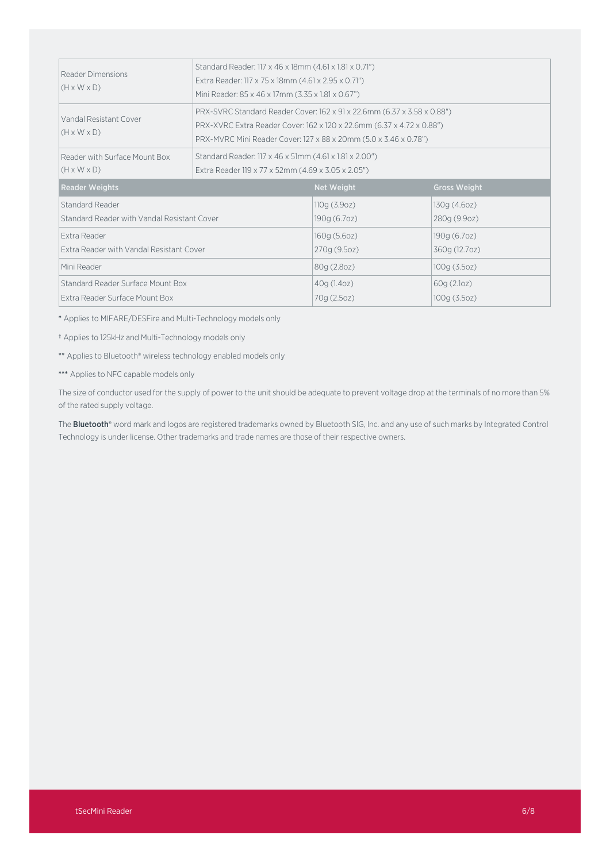| Reader Dimensions<br>$(H \times W \times D)$                        | Standard Reader: 117 x 46 x 18mm (4.61 x 1.81 x 0.71")<br>Extra Reader: 117 x 75 x 18mm (4.61 x 2.95 x 0.71")<br>Mini Reader: 85 x 46 x 17mm (3.35 x 1.81 x 0.67")                                                   |                              |                               |  |  |
|---------------------------------------------------------------------|----------------------------------------------------------------------------------------------------------------------------------------------------------------------------------------------------------------------|------------------------------|-------------------------------|--|--|
| Vandal Resistant Cover<br>$(H \times W \times D)$                   | PRX-SVRC Standard Reader Cover: 162 x 91 x 22.6mm (6.37 x 3.58 x 0.88")<br>PRX-XVRC Extra Reader Cover: 162 x 120 x 22.6mm (6.37 x 4.72 x 0.88")<br>PRX-MVRC Mini Reader Cover: 127 x 88 x 20mm (5.0 x 3.46 x 0.78") |                              |                               |  |  |
| Reader with Surface Mount Box<br>$(H \times W \times D)$            | Standard Reader: 117 x 46 x 51mm (4.61 x 1.81 x 2.00")<br>Extra Reader 119 x 77 x 52mm (4.69 x 3.05 x 2.05")                                                                                                         |                              |                               |  |  |
| <b>Reader Weights</b>                                               |                                                                                                                                                                                                                      | <b>Net Weight</b>            | <b>Gross Weight</b>           |  |  |
| Standard Reader<br>Standard Reader with Vandal Resistant Cover      |                                                                                                                                                                                                                      | 110g(3.9oz)<br>190g (6.7oz)  | 130g(4.60z)<br>280g (9.9oz)   |  |  |
| Extra Reader<br>Extra Reader with Vandal Resistant Cover            |                                                                                                                                                                                                                      | 160g (5.6oz)<br>270g (9.5oz) | 190g (6.7oz)<br>360g (12.7oz) |  |  |
| Mini Reader                                                         |                                                                                                                                                                                                                      | 80g (2.8oz)                  | 100g (3.5oz)                  |  |  |
| Standard Reader Surface Mount Box<br>Extra Reader Surface Mount Box |                                                                                                                                                                                                                      | 40g (1.4oz)<br>70g (2.5oz)   | 60g(2.1oz)<br>100g (3.5oz)    |  |  |

\* Applies to MIFARE/DESFire and Multi-Technology models only

† Applies to 125kHz and Multi-Technology models only

\*\* Applies to Bluetooth® wireless technology enabled models only

\*\*\* Applies to NFC capable models only

The size of conductor used for the supply of power to the unit should be adequate to prevent voltage drop at the terminals of no more than 5% of the rated supply voltage.

The **Bluetooth®** word mark and logos are registered trademarks owned by Bluetooth SIG, Inc. and any use of such marks by Integrated Control Technology is under license. Other trademarks and trade names are those of their respective owners.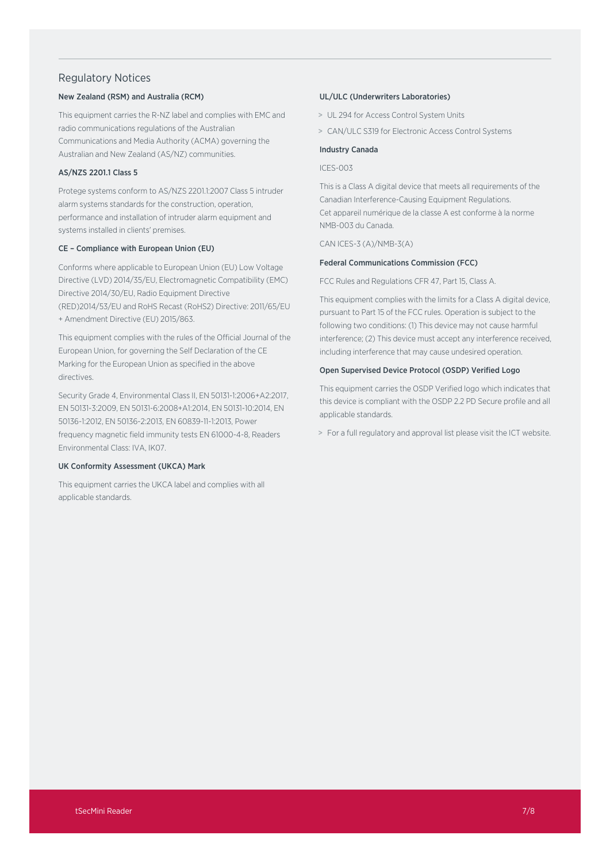### Regulatory Notices

### New Zealand (RSM) and Australia (RCM)

This equipment carries the R-NZ label and complies with EMC and radio communications regulations of the Australian Communications and Media Authority (ACMA) governing the Australian and New Zealand (AS/NZ) communities.

### AS/NZS 2201.1 Class 5

Protege systems conform to AS/NZS 2201.1:2007 Class 5 intruder alarm systems standards for the construction, operation, performance and installation of intruder alarm equipment and systems installed in clients' premises.

### CE – Compliance with European Union (EU)

Conforms where applicable to European Union (EU) Low Voltage Directive (LVD) 2014/35/EU, Electromagnetic Compatibility (EMC) Directive 2014/30/EU, Radio Equipment Directive (RED)2014/53/EU and RoHS Recast (RoHS2) Directive: 2011/65/EU + Amendment Directive (EU) 2015/863.

This equipment complies with the rules of the Official Journal of the European Union, for governing the Self Declaration of the CE Marking for the European Union as specified in the above directives.

Security Grade 4, Environmental Class II, EN 50131-1:2006+A2:2017, EN 50131-3:2009, EN 50131-6:2008+A1:2014, EN 50131-10:2014, EN 50136-1:2012, EN 50136-2:2013, EN 60839-11-1:2013, Power frequency magnetic field immunity tests EN 61000-4-8, Readers Environmental Class: IVA, IK07.

### UK Conformity Assessment (UKCA) Mark

This equipment carries the UKCA label and complies with all applicable standards.

### UL/ULC (Underwriters Laboratories)

- > UL 294 for Access Control System Units
- > CAN/ULC S319 for Electronic Access Control Systems

### Industry Canada

#### ICES-003

This is a Class A digital device that meets all requirements of the Canadian Interference-Causing Equipment Regulations. Cet appareil numérique de la classe A est conforme à la norme NMB-003 du Canada.

CAN ICES-3 (A)/NMB-3(A)

### Federal Communications Commission (FCC)

FCC Rules and Regulations CFR 47, Part 15, Class A.

This equipment complies with the limits for a Class A digital device, pursuant to Part 15 of the FCC rules. Operation is subject to the following two conditions: (1) This device may not cause harmful interference; (2) This device must accept any interference received, including interference that may cause undesired operation.

#### Open Supervised Device Protocol (OSDP) Verified Logo

This equipment carries the OSDP Verified logo which indicates that this device is compliant with the OSDP 2.2 PD Secure profile and all applicable standards.

> For a full regulatory and approval list please visit the ICT website.